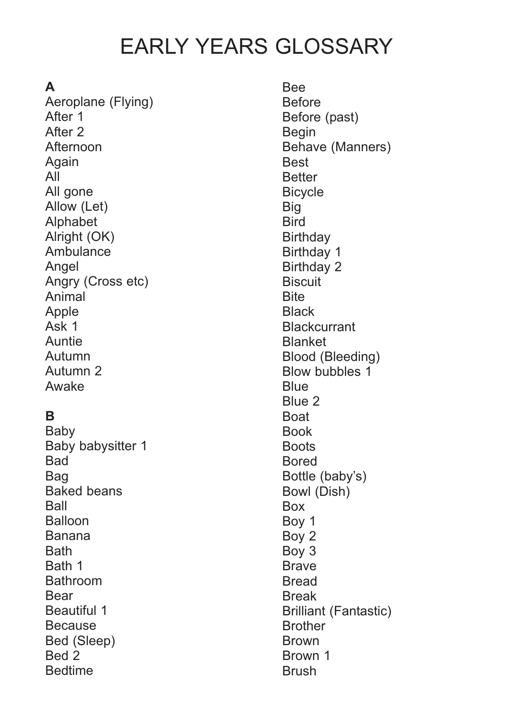# EARLY YEARS GLOSSARY

# **A**

Aeroplane (Flying) After 1 After 2 Afternoon Again All All gone Allow (Let) Alphabet Alright (OK) Ambulance Angel Angry (Cross etc) Animal Apple Ask 1 Auntie Autumn Autumn 2 Awake

# **B**

Baby Baby babysitter 1 **Bad** Bag Baked beans Ball Balloon Banana Bath Bath 1 Bathroom Bear Beautiful 1 Because Bed (Sleep) Bed 2 Bedtime

Bee Before Before (past) Begin Behave (Manners) Best **Better Bicycle** Big **Bird Birthday** Birthday 1 Birthday 2 **Biscuit Bite Black Blackcurrant** Blanket Blood (Bleeding) Blow bubbles 1 **Blue** Blue 2 Boat Book **Boots** Bored Bottle (baby's) Bowl (Dish) Box Boy 1 Boy 2 Boy 3 Brave Bread Break Brilliant (Fantastic) **Brother** Brown Brown 1 Brush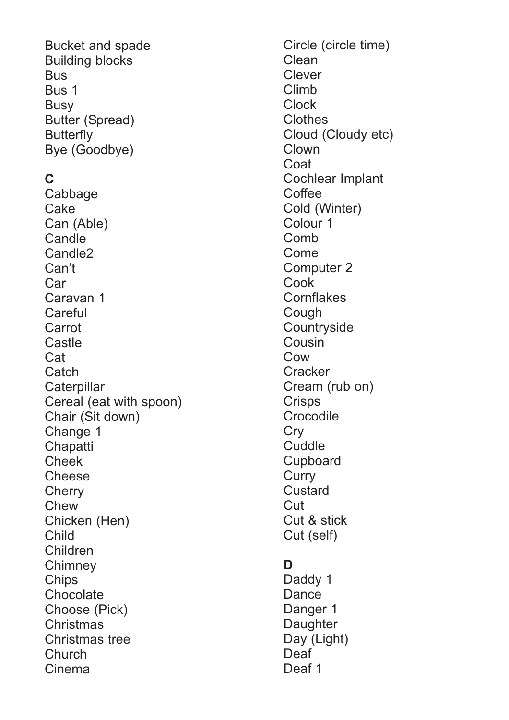Bucket and spade Building blocks **Bus** Bus 1 **Busy** Butter (Spread) **Butterfly** Bye (Goodbye)

#### **C**

Cabbage **Cake** Can (Able) **Candle** Candle2 Can't Car Caravan 1 **Careful** Carrot **Castle** Cat **Catch Caterpillar** Cereal (eat with spoon) Chair (Sit down) Change 1 **Chapatti** Cheek **Cheese Cherry** Chew Chicken (Hen) Child Children **Chimney Chips Chocolate** Choose (Pick) Christmas Christmas tree **Church** Cinema

Circle (circle time) Clean Clever Climb Clock Clothes Cloud (Cloudy etc) Clown Coat Cochlear Implant **Coffee** Cold (Winter) Colour 1 Comb Come Computer 2 Cook **Cornflakes Cough Countryside** Cousin Cow **Cracker** Cream (rub on) **Crisps Crocodile Cry Cuddle** Cupboard **Curry Custard Cut** Cut & stick Cut (self)

#### **D**

Daddy 1 **Dance** Danger 1 **Daughter** Day (Light) Deaf Deaf 1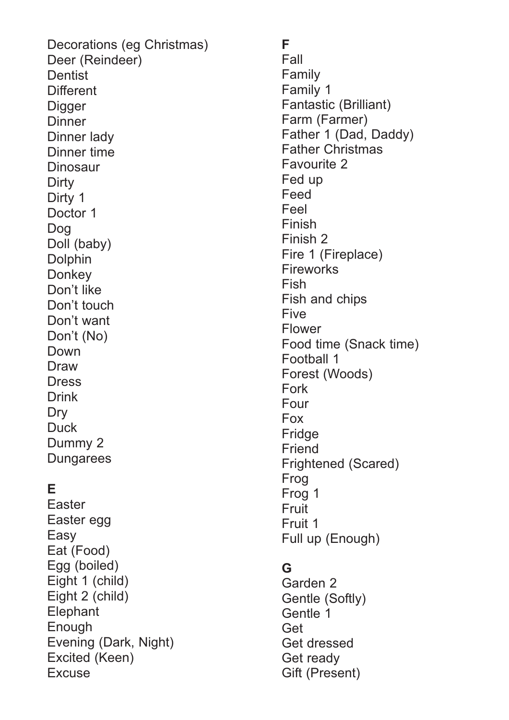Decorations (eg Christmas) Deer (Reindeer) **Dentist Different Digger Dinner** Dinner lady Dinner time Dinosaur **Dirty** Dirty 1 Doctor 1 Dog Doll (baby) Dolphin **Donkey** Don't like Don't touch Don't want Don't (No) Down Draw **Dress** Drink Dry **Duck** Dummy 2 **Dungarees** 

#### **E**

Easter Easter egg Easy Eat (Food) Egg (boiled) Eight 1 (child) Eight 2 (child) **Elephant** Enough Evening (Dark, Night) Excited (Keen) **Excuse** 

**F** Fall Family Family 1 Fantastic (Brilliant) Farm (Farmer) Father 1 (Dad, Daddy) Father Christmas Favourite 2 Fed up Feed Feel Finish Finish 2 Fire 1 (Fireplace) Fireworks Fish Fish and chips Five Flower Food time (Snack time) Football 1 Forest (Woods) Fork Four Fox Fridge Friend Frightened (Scared) Frog Frog 1 **Fruit** Fruit 1 Full up (Enough)

#### **G**

Garden 2 Gentle (Softly) Gentle 1 Get Get dressed Get ready Gift (Present)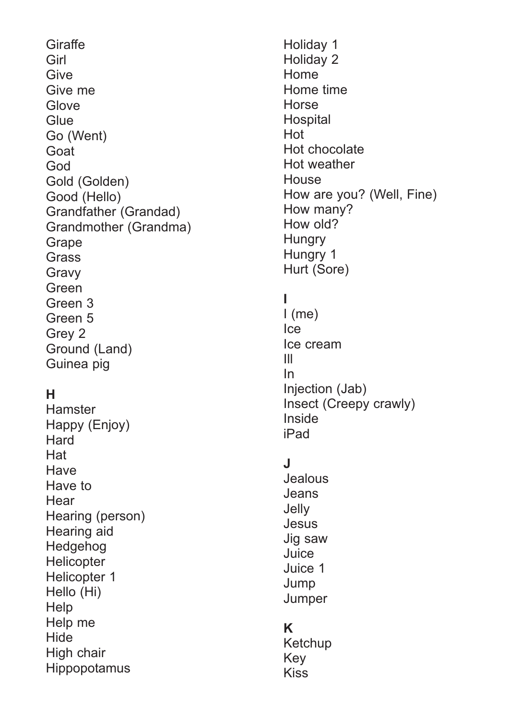**Giraffe Girl Give** Give me **Glove Glue** Go (Went) Goat God Gold (Golden) Good (Hello) Grandfather (Grandad) Grandmother (Grandma) Grape Grass Gravy Green Green 3 Green 5 Grey 2 Ground (Land) Guinea pig

## **H**

Hamster Happy (Enjoy) **Hard Hat Have** Have to **Hear** Hearing (person) Hearing aid Hedgehog **Helicopter** Helicopter 1 Hello (Hi) **Help** Help me **Hide** High chair Hippopotamus

Holiday 1 Holiday 2 Home Home time **Horse Hospital** Hot Hot chocolate Hot weather **House** How are you? (Well, Fine) How many? How old? **Hungry** Hungry 1 Hurt (Sore)

#### **I**

I (me) Ice Ice cream Ill In Injection (Jab) Insect (Creepy crawly) Inside iPad

#### **J**

**Jealous** Jeans **Jelly** Jesus Jig saw Juice Juice 1 Jump **Jumper** 

#### **K**

Ketchup Key Kiss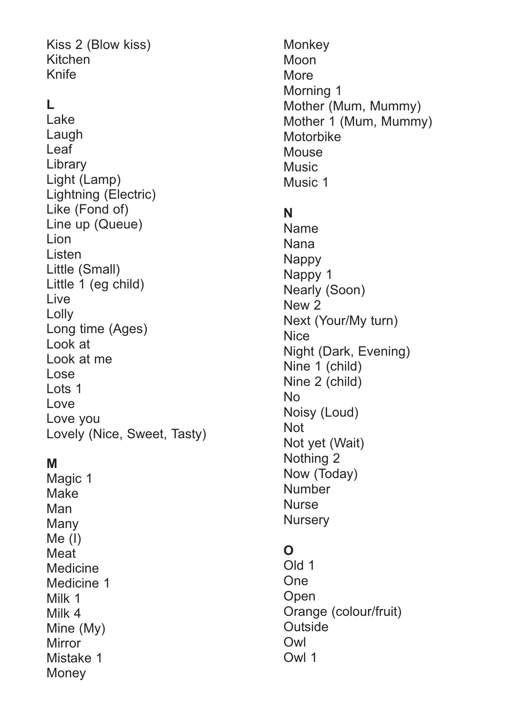Kiss 2 (Blow kiss) Kitchen Knife

# **L**

Lake Laugh Leaf Library Light (Lamp) Lightning (Electric) Like (Fond of) Line up (Queue) Lion Listen Little (Small) Little 1 (eg child) Live Lolly Long time (Ages) Look at Look at me Lose Lots 1 Love Love you Lovely (Nice, Sweet, Tasty)

#### **M**

Magic 1 Make Man Many Me (I) **Meat** Medicine Medicine 1 Milk 1 Milk 4 Mine (My) Mirror Mistake 1 **Money** 

**Monkey** Moon More Morning 1 Mother (Mum, Mummy) Mother 1 (Mum, Mummy) **Motorbike Mouse** Music Music 1

#### **N**

Name Nana **Nappy** Nappy 1 Nearly (Soon) New 2 Next (Your/My turn) **Nice** Night (Dark, Evening) Nine 1 (child) Nine 2 (child) No Noisy (Loud) Not Not yet (Wait) Nothing 2 Now (Today) **Number Nurse Nursery** 

#### **O**

Old 1 One **Open** Orange (colour/fruit) **Outside** Owl Owl 1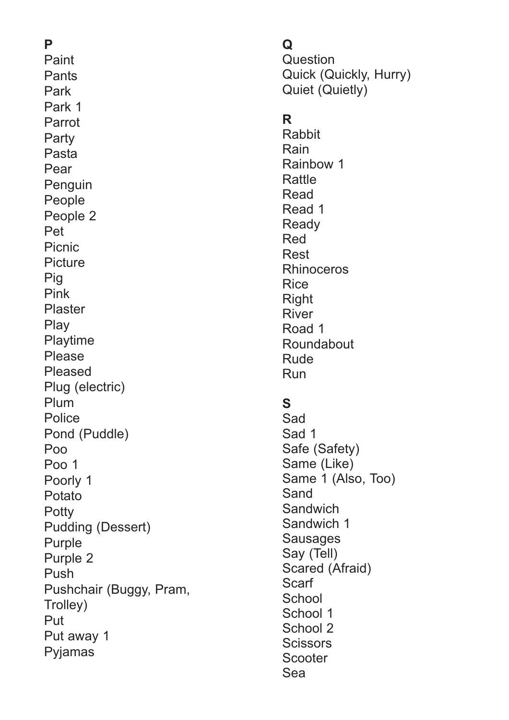# **P**

Paint Pants Park Park 1 Parrot **Party** Pasta Pear Penguin People People 2 Pet Picnic **Picture** Pig Pink Plaster Play Playtime Please Pleased Plug (electric) Plum **Police** Pond (Puddle) Poo Poo 1 Poorly 1 Potato **Potty** Pudding (Dessert) Purple Purple 2 Push Pushchair (Buggy, Pram, Trolley) Put Put away 1 Pyjamas

# **Q**

Question Quick (Quickly, Hurry) Quiet (Quietly)

## **R**

Rabbit Rain Rainbow 1 Rattle Read Read 1 **Ready** Red Rest Rhinoceros Rice Right River Road 1 Roundabout Rude Run

## **S**

Sad Sad 1 Safe (Safety) Same (Like) Same 1 (Also, Too) Sand Sandwich Sandwich 1 Sausages Say (Tell) Scared (Afraid) Scarf **School** School 1 School 2 **Scissors** Scooter Sea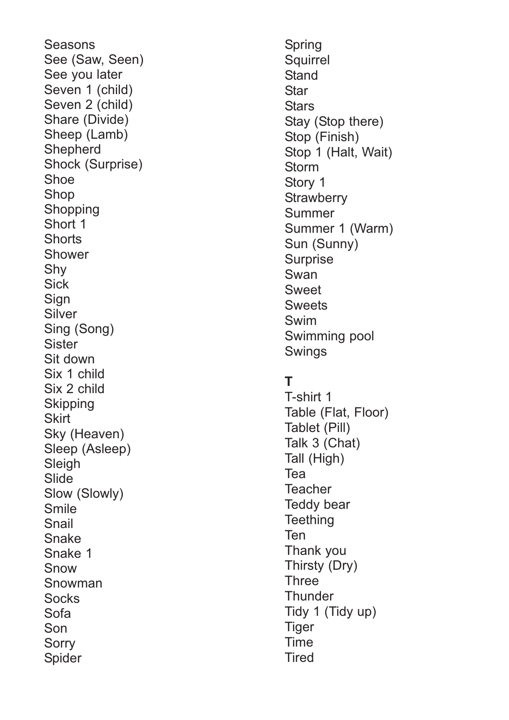Seasons See (Saw, Seen) See you later Seven 1 (child) Seven 2 (child) Share (Divide) Sheep (Lamb) **Shepherd** Shock (Surprise) Shoe Shop **Shopping** Short 1 **Shorts** Shower Shy **Sick** Sign Silver Sing (Song) Sister Sit down Six 1 child Six 2 child **Skipping Skirt** Sky (Heaven) Sleep (Asleep) **Sleigh** Slide Slow (Slowly) Smile Snail Snake Snake 1 Snow Snowman **Socks** Sofa Son **Sorry** Spider

Spring Squirrel **Stand Star Stars** Stay (Stop there) Stop (Finish) Stop 1 (Halt, Wait) **Storm** Story 1 **Strawberry** Summer Summer 1 (Warm) Sun (Sunny) **Surprise** Swan Sweet **Sweets** Swim Swimming pool Swings

# **T**

T-shirt 1 Table (Flat, Floor) Tablet (Pill) Talk 3 (Chat) Tall (High) Tea **Teacher** Teddy bear **Teething** Ten Thank you Thirsty (Dry) **Three Thunder** Tidy 1 (Tidy up) **Tiger** Time **Tired**